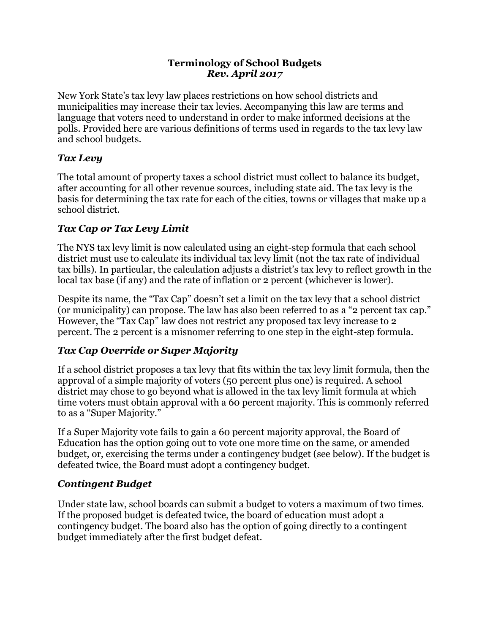#### **Terminology of School Budgets** *Rev. April 2017*

New York State's tax levy law places restrictions on how school districts and municipalities may increase their tax levies. Accompanying this law are terms and language that voters need to understand in order to make informed decisions at the polls. Provided here are various definitions of terms used in regards to the tax levy law and school budgets.

### *Tax Levy*

The total amount of property taxes a school district must collect to balance its budget, after accounting for all other revenue sources, including state aid. The tax levy is the basis for determining the tax rate for each of the cities, towns or villages that make up a school district.

## *Tax Cap or Tax Levy Limit*

The NYS tax levy limit is now calculated using an eight-step formula that each school district must use to calculate its individual tax levy limit (not the tax rate of individual tax bills). In particular, the calculation adjusts a district's tax levy to reflect growth in the local tax base (if any) and the rate of inflation or 2 percent (whichever is lower).

Despite its name, the "Tax Cap" doesn't set a limit on the tax levy that a school district (or municipality) can propose. The law has also been referred to as a "2 percent tax cap." However, the "Tax Cap" law does not restrict any proposed tax levy increase to 2 percent. The 2 percent is a misnomer referring to one step in the eight-step formula.

# *Tax Cap Override or Super Majority*

If a school district proposes a tax levy that fits within the tax levy limit formula, then the approval of a simple majority of voters (50 percent plus one) is required. A school district may chose to go beyond what is allowed in the tax levy limit formula at which time voters must obtain approval with a 60 percent majority. This is commonly referred to as a "Super Majority."

If a Super Majority vote fails to gain a 60 percent majority approval, the Board of Education has the option going out to vote one more time on the same, or amended budget, or, exercising the terms under a contingency budget (see below). If the budget is defeated twice, the Board must adopt a contingency budget.

# *Contingent Budget*

Under state law, school boards can submit a budget to voters a maximum of two times. If the proposed budget is defeated twice, the board of education must adopt a contingency budget. The board also has the option of going directly to a contingent budget immediately after the first budget defeat.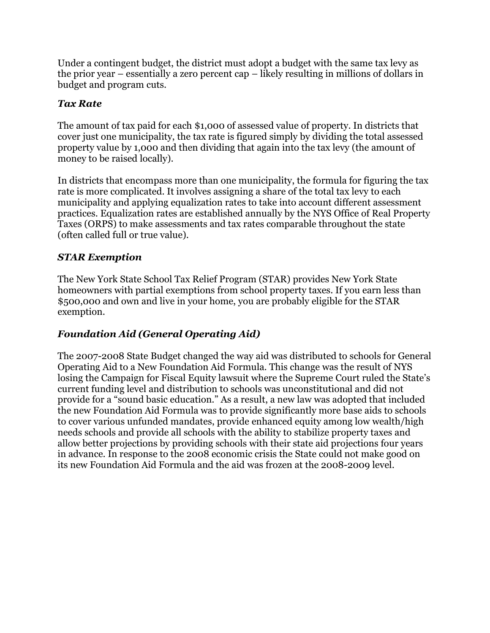Under a contingent budget, the district must adopt a budget with the same tax levy as the prior year – essentially a zero percent cap – likely resulting in millions of dollars in budget and program cuts.

## *Tax Rate*

The amount of tax paid for each \$1,000 of assessed value of property. In districts that cover just one municipality, the tax rate is figured simply by dividing the total assessed property value by 1,000 and then dividing that again into the tax levy (the amount of money to be raised locally).

In districts that encompass more than one municipality, the formula for figuring the tax rate is more complicated. It involves assigning a share of the total tax levy to each municipality and applying equalization rates to take into account different assessment practices. Equalization rates are established annually by the NYS Office of Real Property Taxes (ORPS) to make assessments and tax rates comparable throughout the state (often called full or true value).

### *STAR Exemption*

The New York State School Tax Relief Program (STAR) provides New York State homeowners with partial exemptions from school property taxes. If you earn less than \$500,000 and own and live in your home, you are probably eligible for the STAR exemption.

### *Foundation Aid (General Operating Aid)*

The 2007-2008 State Budget changed the way aid was distributed to schools for General Operating Aid to a New Foundation Aid Formula. This change was the result of NYS losing the Campaign for Fiscal Equity lawsuit where the Supreme Court ruled the State's current funding level and distribution to schools was unconstitutional and did not provide for a "sound basic education." As a result, a new law was adopted that included the new Foundation Aid Formula was to provide significantly more base aids to schools to cover various unfunded mandates, provide enhanced equity among low wealth/high needs schools and provide all schools with the ability to stabilize property taxes and allow better projections by providing schools with their state aid projections four years in advance. In response to the 2008 economic crisis the State could not make good on its new Foundation Aid Formula and the aid was frozen at the 2008-2009 level.